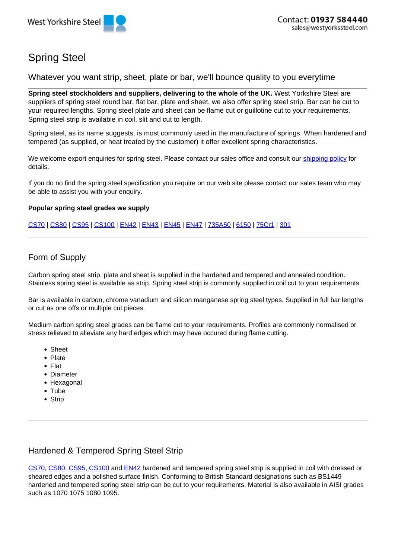

# Spring Steel

Whatever you want strip, sheet, plate or bar, we'll bounce quality to you everytime

**Spring steel stockholders and suppliers, delivering to the whole of the UK.** West Yorkshire Steel are suppliers of spring steel round bar, flat bar, plate and sheet, we also offer spring steel strip. Bar can be cut to your required lengths. Spring steel plate and sheet can be flame cut or guillotine cut to your requirements. Spring steel strip is available in coil, slit and cut to length.

Spring steel, as its name suggests, is most commonly used in the manufacture of springs. When hardened and tempered (as supplied, or heat treated by the customer) it offer excellent spring characteristics.

We welcome export enquiries for spring steel. Please contact our sales office and consult our shipping policy for details.

If you do no find the spring steel specification you require on our web site please contact our sales team who may be able to assist you with your enquiry.

### **Popular spring steel grades we supply**

CS70 | CS80 | CS95 | CS100 | EN42 | EN43 | EN45 | EN47 | 735A50 | 6150 | 75Cr1 | 301

# Form of Supply

Carbon spring steel strip, plate and sheet is supplied in the hardened and tempered and annealed condition. Stainless spring steel is available as strip. Spring steel strip is commonly supplied in coil cut to your requirements.

Bar is available in carbon, chrome vanadium and silicon manganese spring steel types. Supplied in full bar lengths or cut as one offs or multiple cut pieces.

Medium carbon spring steel grades can be flame cut to your requirements. Profiles are commonly normalised or stress relieved to alleviate any hard edges which may have occured during flame cutting.

- Sheet
- Plate
- Flat
- Diameter
- Hexagonal
- Tube
- Strip

# Hardened & Tempered Spring Steel Strip

CS70, CS80, CS95, CS100 and EN42 hardened and tempered spring steel strip is supplied in coil with dressed or sheared edges and a polished surface finish. Conforming to British Standard designations such as BS1449 hardened and tempered spring steel strip can be cut to your requirements. Material is also available in AISI grades such as 1070 1075 1080 1095.